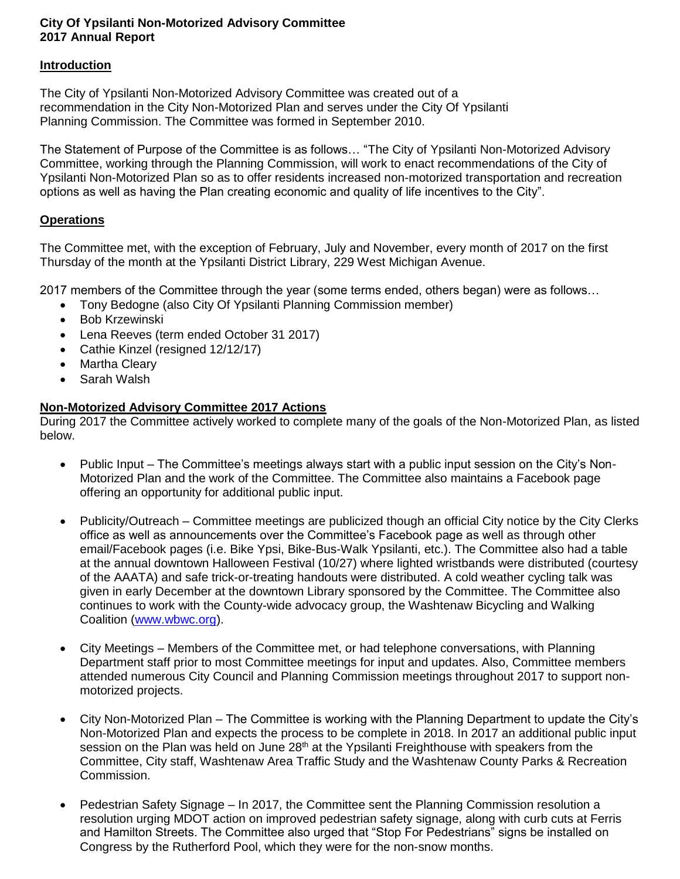## **City Of Ypsilanti Non-Motorized Advisory Committee 2017 Annual Report**

## **Introduction**

The City of Ypsilanti Non-Motorized Advisory Committee was created out of a recommendation in the City Non-Motorized Plan and serves under the City Of Ypsilanti Planning Commission. The Committee was formed in September 2010.

The Statement of Purpose of the Committee is as follows… "The City of Ypsilanti Non-Motorized Advisory Committee, working through the Planning Commission, will work to enact recommendations of the City of Ypsilanti Non-Motorized Plan so as to offer residents increased non-motorized transportation and recreation options as well as having the Plan creating economic and quality of life incentives to the City".

## **Operations**

The Committee met, with the exception of February, July and November, every month of 2017 on the first Thursday of the month at the Ypsilanti District Library, 229 West Michigan Avenue.

2017 members of the Committee through the year (some terms ended, others began) were as follows…

- Tony Bedogne (also City Of Ypsilanti Planning Commission member)
- Bob Krzewinski
- Lena Reeves (term ended October 31 2017)
- Cathie Kinzel (resigned 12/12/17)
- Martha Cleary
- Sarah Walsh

## **Non-Motorized Advisory Committee 2017 Actions**

During 2017 the Committee actively worked to complete many of the goals of the Non-Motorized Plan, as listed below.

- Public Input The Committee's meetings always start with a public input session on the City's Non-Motorized Plan and the work of the Committee. The Committee also maintains a Facebook page offering an opportunity for additional public input.
- Publicity/Outreach Committee meetings are publicized though an official City notice by the City Clerks office as well as announcements over the Committee's Facebook page as well as through other email/Facebook pages (i.e. Bike Ypsi, Bike-Bus-Walk Ypsilanti, etc.). The Committee also had a table at the annual downtown Halloween Festival (10/27) where lighted wristbands were distributed (courtesy of the AAATA) and safe trick-or-treating handouts were distributed. A cold weather cycling talk was given in early December at the downtown Library sponsored by the Committee. The Committee also continues to work with the County-wide advocacy group, the Washtenaw Bicycling and Walking Coalition [\(www.wbwc.org\)](http://www.wbwc.org/).
- City Meetings Members of the Committee met, or had telephone conversations, with Planning Department staff prior to most Committee meetings for input and updates. Also, Committee members attended numerous City Council and Planning Commission meetings throughout 2017 to support nonmotorized projects.
- City Non-Motorized Plan The Committee is working with the Planning Department to update the City's Non-Motorized Plan and expects the process to be complete in 2018. In 2017 an additional public input session on the Plan was held on June  $28<sup>th</sup>$  at the Ypsilanti Freighthouse with speakers from the Committee, City staff, Washtenaw Area Traffic Study and the Washtenaw County Parks & Recreation Commission.
- Pedestrian Safety Signage In 2017, the Committee sent the Planning Commission resolution a resolution urging MDOT action on improved pedestrian safety signage, along with curb cuts at Ferris and Hamilton Streets. The Committee also urged that "Stop For Pedestrians" signs be installed on Congress by the Rutherford Pool, which they were for the non-snow months.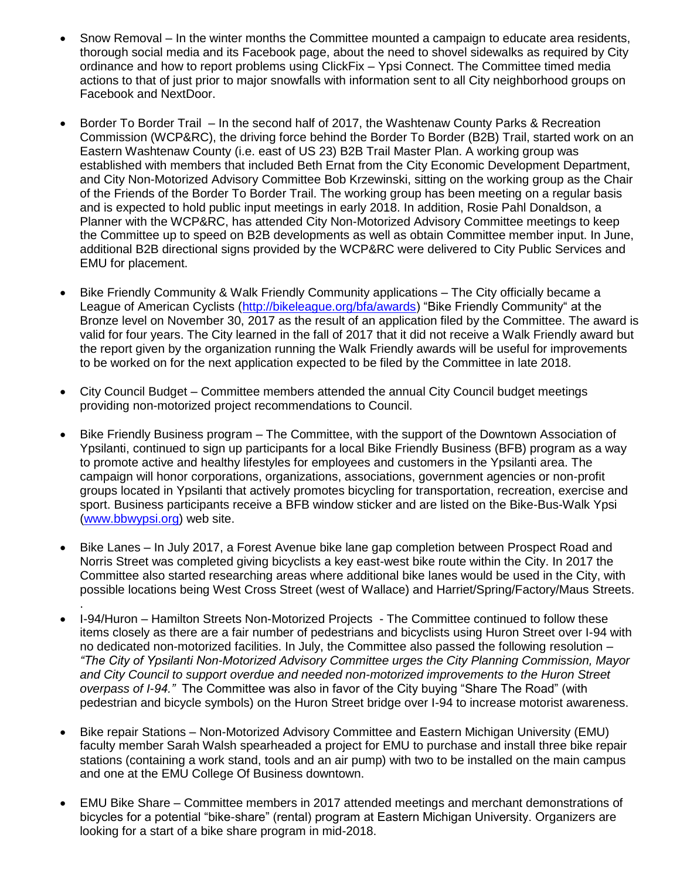- Snow Removal In the winter months the Committee mounted a campaign to educate area residents, thorough social media and its Facebook page, about the need to shovel sidewalks as required by City ordinance and how to report problems using ClickFix – Ypsi Connect. The Committee timed media actions to that of just prior to major snowfalls with information sent to all City neighborhood groups on Facebook and NextDoor.
- Border To Border Trail In the second half of 2017, the Washtenaw County Parks & Recreation Commission (WCP&RC), the driving force behind the Border To Border (B2B) Trail, started work on an Eastern Washtenaw County (i.e. east of US 23) B2B Trail Master Plan. A working group was established with members that included Beth Ernat from the City Economic Development Department, and City Non-Motorized Advisory Committee Bob Krzewinski, sitting on the working group as the Chair of the Friends of the Border To Border Trail. The working group has been meeting on a regular basis and is expected to hold public input meetings in early 2018. In addition, Rosie Pahl Donaldson, a Planner with the WCP&RC, has attended City Non-Motorized Advisory Committee meetings to keep the Committee up to speed on B2B developments as well as obtain Committee member input. In June, additional B2B directional signs provided by the WCP&RC were delivered to City Public Services and EMU for placement.
- Bike Friendly Community & Walk Friendly Community applications The City officially became a League of American Cyclists [\(http://bikeleague.org/bfa/awards\)](http://bikeleague.org/bfa/awards) "Bike Friendly Community" at the Bronze level on November 30, 2017 as the result of an application filed by the Committee. The award is valid for four years. The City learned in the fall of 2017 that it did not receive a Walk Friendly award but the report given by the organization running the Walk Friendly awards will be useful for improvements to be worked on for the next application expected to be filed by the Committee in late 2018.
- City Council Budget Committee members attended the annual City Council budget meetings providing non-motorized project recommendations to Council.
- Bike Friendly Business program The Committee, with the support of the Downtown Association of Ypsilanti, continued to sign up participants for a local Bike Friendly Business (BFB) program as a way to promote active and healthy lifestyles for employees and customers in the Ypsilanti area. The campaign will honor corporations, organizations, associations, government agencies or non-profit groups located in Ypsilanti that actively promotes bicycling for transportation, recreation, exercise and sport. Business participants receive a BFB window sticker and are listed on the Bike-Bus-Walk Ypsi [\(www.bbwypsi.org\)](http://www.bbwypsi.org/) web site.
- Bike Lanes In July 2017, a Forest Avenue bike lane gap completion between Prospect Road and Norris Street was completed giving bicyclists a key east-west bike route within the City. In 2017 the Committee also started researching areas where additional bike lanes would be used in the City, with possible locations being West Cross Street (west of Wallace) and Harriet/Spring/Factory/Maus Streets. .
- I-94/Huron Hamilton Streets Non-Motorized Projects The Committee continued to follow these items closely as there are a fair number of pedestrians and bicyclists using Huron Street over I-94 with no dedicated non-motorized facilities. In July, the Committee also passed the following resolution – *"The City of Ypsilanti Non-Motorized Advisory Committee urges the City Planning Commission, Mayor and City Council to support overdue and needed non-motorized improvements to the Huron Street overpass of I-94."* The Committee was also in favor of the City buying "Share The Road" (with pedestrian and bicycle symbols) on the Huron Street bridge over I-94 to increase motorist awareness.
- Bike repair Stations Non-Motorized Advisory Committee and Eastern Michigan University (EMU) faculty member Sarah Walsh spearheaded a project for EMU to purchase and install three bike repair stations (containing a work stand, tools and an air pump) with two to be installed on the main campus and one at the EMU College Of Business downtown.
- EMU Bike Share Committee members in 2017 attended meetings and merchant demonstrations of bicycles for a potential "bike-share" (rental) program at Eastern Michigan University. Organizers are looking for a start of a bike share program in mid-2018.